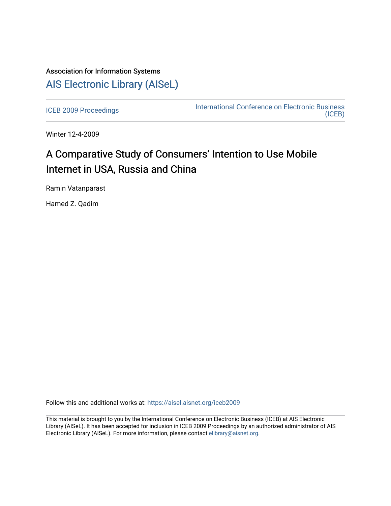# Association for Information Systems [AIS Electronic Library \(AISeL\)](https://aisel.aisnet.org/)

[ICEB 2009 Proceedings](https://aisel.aisnet.org/iceb2009) **International Conference on Electronic Business** [\(ICEB\)](https://aisel.aisnet.org/iceb) 

Winter 12-4-2009

# A Comparative Study of Consumers' Intention to Use Mobile Internet in USA, Russia and China

Ramin Vatanparast

Hamed Z. Qadim

Follow this and additional works at: [https://aisel.aisnet.org/iceb2009](https://aisel.aisnet.org/iceb2009?utm_source=aisel.aisnet.org%2Ficeb2009%2F44&utm_medium=PDF&utm_campaign=PDFCoverPages)

This material is brought to you by the International Conference on Electronic Business (ICEB) at AIS Electronic Library (AISeL). It has been accepted for inclusion in ICEB 2009 Proceedings by an authorized administrator of AIS Electronic Library (AISeL). For more information, please contact [elibrary@aisnet.org.](mailto:elibrary@aisnet.org%3E)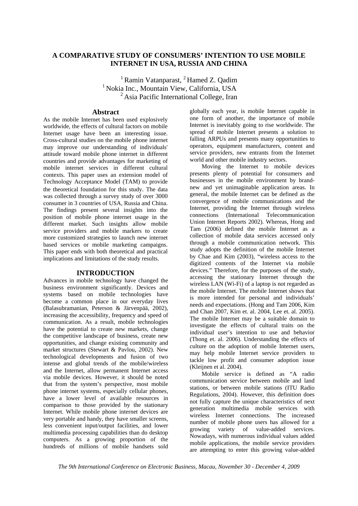# **A COMPARATIVE STUDY OF CONSUMERS' INTENTION TO USE MOBILE INTERNET IN USA, RUSSIA AND CHINA**

<sup>1</sup> Ramin Vatanparast,  $^{2}$  Hamed Z. Oadim <sup>1</sup> Nokia Inc., Mountain View, California, USA  $2^2$ Asia Pacific International College, Iran

# **Abstract**

As the mobile Internet has been used explosively worldwide, the effects of cultural factors on mobile Internet usage have been an interesting issue. Cross-cultural studies on the mobile phone internet may improve our understanding of individuals' attitude toward mobile phone internet in different countries and provide advantages for marketing of mobile internet services in different cultural contexts. This paper uses an extension model of Technology Acceptance Model (TAM) to provide the theoretical foundation for this study. The data was collected through a survey study of over 3000 consumer in 3 countries of USA, Russia and China. The findings present several insights into the position of mobile phone internet usage in the different market. Such insights allow mobile service providers and mobile markers to create more customized strategies to launch new internet based services or mobile marketing campaigns. This paper ends with both theoretical and practical implications and limitations of the study results.

# **INTRODUCTION**

Advances in mobile technology have changed the business environment significantly. Devices and systems based on mobile technologies have become a common place in our everyday lives (Balasubramanian, Peterson & Järvenpää, 2002), increasing the accessibility, frequency and speed of communication. As a result, mobile technologies have the potential to create new markets, change the competitive landscape of business, create new opportunities, and change existing community and market structures (Stewart & Pavlou, 2002). New technological developments and fusion of two intense and global trends of the mobile/wireless and the Internet, allow permanent Internet access via mobile devices. However, it should be noted that from the system's perspective, most mobile phone internet systems, especially cellular phones, have a lower level of available resources in comparison to those provided by the stationary Internet. While mobile phone internet devices are very portable and handy, they have smaller screens, less convenient input/output facilities, and lower multimedia processing capabilities than do desktop computers. As a growing proportion of the hundreds of millions of mobile handsets sold

globally each year, is mobile Internet capable in one form of another, the importance of mobile Internet is inevitably going to rise worldwide. The spread of mobile Internet presents a solution to falling ARPUs and presents many opportunities to operators, equipment manufacturers, content and service providers, new entrants from the Internet world and other mobile industry sectors.

Moving the Internet to mobile devices presents plenty of potential for consumers and businesses in the mobile environment by brandnew and yet unimaginable application areas. In general, the mobile Internet can be defined as the convergence of mobile communications and the Internet, providing the Internet through wireless connections (International Telecommunication Union Internet Reports 2002). Whereas, Hong and Tam (2006) defined the mobile Internet as a collection of mobile data services accessed only through a mobile communication network. This study adopts the definition of the mobile Internet by Chae and Kim (2003), "wireless access to the digitized contents of the Internet via mobile devices." Therefore, for the purposes of the study, accessing the stationary Internet through the wireless LAN (Wi-Fi) of a laptop is not regarded as the mobile Internet. The mobile Internet shows that is more intended for personal and individuals' needs and expectations. (Hong and Tam 2006, Kim and Chan 2007, Kim et. al. 2004, Lee et. al. 2005). The mobile Internet may be a suitable domain to investigate the effects of cultural traits on the individual user's intention to use and behavior (Thong et. al. 2006). Understanding the effects of culture on the adoption of mobile Internet users, may help mobile Internet service providers to tackle low profit and consumer adoption issue (Kleijnen et al. 2004).

Mobile service is defined as "A radio communication service between mobile and land stations, or between mobile stations (ITU Radio Regulations, 2004). However, this definition does not fully capture the unique characteristics of next generation multimedia mobile services with wireless Internet connections. The increased number of mobile phone users has allowed for a<br>growing variety of value-added services. growing variety of value-added Nowadays, with numerous individual values added mobile applications, the mobile service providers are attempting to enter this growing value-added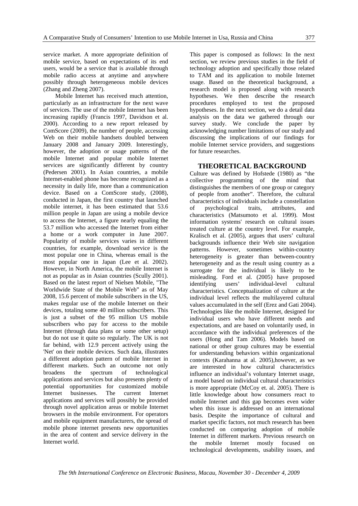service market. A more appropriate definition of mobile service, based on expectations of its end users, would be a service that is available through mobile radio access at anytime and anywhere possibly through heterogeneous mobile devices (Zhang and Zheng 2007).

Mobile Internet has received much attention, particularly as an infrastructure for the next wave of services. The use of the mobile Internet has been increasing rapidly (Francis 1997, Davidson et al. 2000). According to a new report released by ComScore (2009), the number of people, accessing Web on their mobile handsets doubled between January 2008 and January 2009. Interestingly, however, the adoption or usage patterns of the mobile Internet and popular mobile Internet services are significantly different by country (Pedersen 2001). In Asian countries, a mobile Internet-enabled phone has become recognized as a necessity in daily life, more than a communication device. Based on a ComScore study, (2008), conducted in Japan, the first country that launched mobile internet, it has been estimated that 53.6 million people in Japan are using a mobile device to access the Internet, a figure nearly equaling the 53.7 million who accessed the Internet from either a home or a work computer in June 2007. Popularity of mobile services varies in different countries, for example, download service is the most popular one in China, whereas email is the most popular one in Japan (Lee et al. 2002). However, in North America, the mobile Internet is not as popular as in Asian countries (Scully 2001). Based on the latest report of Nielsen Mobile, "The Worldwide State of the Mobile Web" as of May 2008, 15.6 percent of mobile subscribers in the US, makes regular use of the mobile Internet on their devices, totaling some 40 million subscribers. This is just a subset of the 95 million US mobile subscribers who pay for access to the mobile Internet (through data plans or some other setup) but do not use it quite so regularly. The UK is not far behind, with 12.9 percent actively using the 'Net' on their mobile devices. Such data, illustrates a different adoption pattern of mobile Internet in different markets. Such an outcome not only broadens the spectrum of technological applications and services but also presents plenty of potential opportunities for customized mobile Internet businesses. The current Internet applications and services will possibly be provided through novel application areas or mobile Internet browsers in the mobile environment. For operators and mobile equipment manufacturers, the spread of mobile phone internet presents new opportunities in the area of content and service delivery in the Internet world.

This paper is composed as follows: In the next section, we review previous studies in the field of technology adoption and specifically those related to TAM and its application to mobile Internet usage. Based on the theoretical background, a research model is proposed along with research hypotheses. We then describe the research procedures employed to test the proposed hypotheses. In the next section, we do a detail data analysis on the data we gathered through our survey study. We conclude the paper by acknowledging number limitations of our study and discussing the implications of our findings for mobile Internet service providers, and suggestions for future researches.

# **THEORETICAL BACKGROUND**

Culture was defined by Hofstede (1980) as "the collective programming of the mind that distinguishes the members of one group or category of people from another". Therefore, the cultural characteristics of individuals include a constellation of psychological traits, attributes, and characteristics (Matsumoto et al. 1999). Most information systems' research on cultural issues treated culture at the country level. For example, Kralisch et al. (2005), argues that users' cultural backgrounds influence their Web site navigation patterns. However, sometimes within-country heterogeneity is greater than between-country heterogeneity and as the result using country as a surrogate for the individual is likely to be misleading. Ford et al. (2005) have proposed identifying users' individual-level cultural characteristics. Conceptualization of culture at the individual level reflects the multilayered cultural values accumulated in the self (Erez and Gati 2004). Technologies like the mobile Internet, designed for individual users who have different needs and expectations, and are based on voluntarily used, in accordance with the individual preferences of the users (Hong and Tam 2006). Models based on national or other group cultures may be essential for understanding behaviors within organizational contexts (Karahanna at al. 2005),however, as we are interested in how cultural characteristics influence an individual's voluntary Internet usage, a model based on individual cultural characteristics is more appropriate (McCoy et. al. 2005). There is little knowledge about how consumers react to mobile Internet and this gap becomes even wider when this issue is addressed on an international basis. Despite the importance of cultural and market specific factors, not much research has been conducted on comparing adoption of mobile Internet in different markets. Previous research on the mobile Internet mostly focused on technological developments, usability issues, and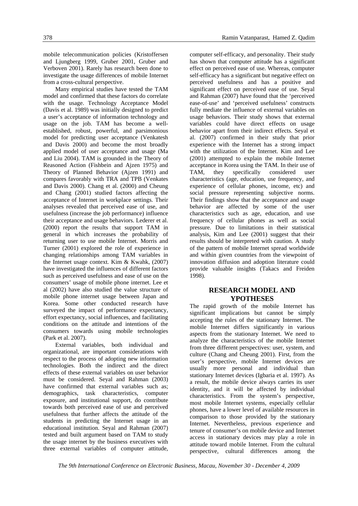mobile telecommunication policies (Kristoffersen and Ljungberg 1999, Gruber 2001, Gruber and Verboven 2001). Rarely has research been done to investigate the usage differences of mobile Internet from a cross-cultural perspective.

Many empirical studies have tested the TAM model and confirmed that these factors do correlate with the usage. Technology Acceptance Model (Davis et al. 1989) was initially designed to predict a user's acceptance of information technology and usage on the job. TAM has become a wellestablished, robust, powerful, and parsimonious model for predicting user acceptance (Venkatesh and Davis 2000) and become the most broadly applied model of user acceptance and usage (Ma and Liu 2004). TAM is grounded in the Theory of Reasoned Action (Fishbein and Ajzen 1975) and Theory of Planned Behavior (Ajzen 1991) and compares favorably with TRA and TPB (Venkates and Davis 2000). Chang et al. (2000) and Cheung and Chang (2001) studied factors affecting the acceptance of Internet in workplace settings. Their analyses revealed that perceived ease of use, and usefulness (increase the job performance) influence their acceptance and usage behaviors. Lederer et al. (2000) report the results that support TAM in general in which increases the probability of returning user to use mobile Internet. Morris and Turner (2001) explored the role of experience in changing relationships among TAM variables in the Internet usage context. Kim & Kwahk, (2007) have investigated the influences of different factors such as perceived usefulness and ease of use on the consumers' usage of mobile phone internet. Lee et al (2002) have also studied the value structure of mobile phone internet usage between Japan and Korea. Some other conducted research have surveyed the impact of performance expectancy, effort expectancy, social influences, and facilitating conditions on the attitude and intentions of the consumers towards using mobile technologies (Park et al. 2007).

External variables, both individual and organizational, are important considerations with respect to the process of adopting new information technologies. Both the indirect and the direct effects of these external variables on user behavior must be considered. Seyal and Rahman (2003) have confirmed that external variables such as; demographics, task characteristics, computer exposure, and institutional support, do contribute towards both perceived ease of use and perceived usefulness that further affects the attitude of the students in predicting the Internet usage in an educational institution. Seyal and Rahman (2007) tested and built argument based on TAM to study the usage internet by the business executives with three external variables of computer attitude,

computer self-efficacy, and personality. Their study has shown that computer attitude has a significant effect on perceived ease of use. Whereas, computer self-efficacy has a significant but negative effect on perceived usefulness and has a positive and significant effect on perceived ease of use. Seyal and Rahman (2007) have found that the 'perceived ease-of-use' and 'perceived usefulness' constructs fully mediate the influence of external variables on usage behaviors. Their study shows that external variables could have direct effects on usage behavior apart from their indirect effects. Seyal et al. (2007) confirmed in their study that prior experience with the Internet has a strong impact with the utilization of the Internet. Kim and Lee (2001) attempted to explain the mobile Internet acceptance in Korea using the TAM. In their use of TAM, they specifically considered user characteristics (age, education, use frequency, and experience of cellular phones, income, etc) and social pressure representing subjective norms. Their findings show that the acceptance and usage behavior are affected by some of the user characteristics such as age, education, and use frequency of cellular phones as well as social pressure. Due to limitations in their statistical analysis, Kim and Lee (2001) suggest that their results should be interpreted with caution. A study of the pattern of mobile Internet spread worldwide and within given countries from the viewpoint of innovation diffusion and adoption literature could provide valuable insights (Takacs and Freiden 1998).

# **RESEARCH MODEL AND YPOTHESES**

The rapid growth of the mobile Internet has significant implications but cannot be simply accepting the rules of the stationary Internet. The mobile Internet differs significantly in various aspects from the stationary Internet. We need to analyze the characteristics of the mobile Internet from three different perspectives: user, system, and culture (Chang and Cheung 2001). First, from the user's perspective, mobile Internet devices are usually more personal and individual than stationary Internet devices (Igbaria et al. 1997). As a result, the mobile device always carries its user identity, and it will be affected by individual characteristics. From the system's perspective, most mobile Internet systems, especially cellular phones, have a lower level of available resources in comparison to those provided by the stationary Internet. Nevertheless, previous experience and tenure of consumer's on mobile device and Internet access in stationary devices may play a role in attitude toward mobile Internet. From the cultural perspective, cultural differences among the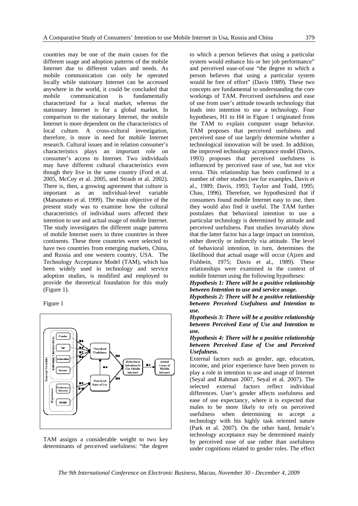countries may be one of the main causes for the different usage and adoption patterns of the mobile Internet due to different values and needs. As mobile communication can only be operated locally while stationary Internet can be accessed anywhere in the world, it could be concluded that mobile communication is fundamentally characterized for a local market, whereas the stationary Internet is for a global market. In comparison to the stationary Internet, the mobile Internet is more dependent on the characteristics of local culture. A cross-cultural investigation, therefore, is more in need for mobile Internet research. Cultural issues and in relation consumer's characteristics plays an important role on consumer's access to Internet. Two individuals may have different cultural characteristics even though they live in the same country (Ford et al. 2005, McCoy et al. 2005, and Straub et al. 2002). There is, then, a growing agreement that culture is important as an individual-level variable (Matsumoto et al. 1999). The main objective of the present study was to examine how the cultural characteristics of individual users affected their intention to use and actual usage of mobile Internet. The study investigates the different usage patterns of mobile Internet users in three countries in three continents. These three countries were selected to have two countries from emerging markets, China, and Russia and one western country, USA. The Technology Acceptance Model (TAM), which has been widely used in technology and service adoption studies, is modified and employed to provide the theoretical foundation for this study (Figure 1).

Figure 1



TAM assigns a considerable weight to two key determinants of perceived usefulness: "the degree

to which a person believes that using a particular system would enhance his or her job performance" and perceived ease-of-use "the degree to which a person believes that using a particular system would be free of effort" (Davis 1989). These two concepts are fundamental to understanding the core workings of TAM. Perceived usefulness and ease of use from user's attitude towards technology that leads into intention to use a technology. Four hypotheses, H1 to H4 in Figure 1 originated from the TAM to explain computer usage behavior. TAM proposes that perceived usefulness and perceived ease of use largely determine whether a technological innovation will be used. In addition, the improved technology acceptance model (Davis, 1993) proposes that perceived usefulness is influenced by perceived ease of use, but not vice versa. This relationship has been confirmed in a number of other studies (see for examples, Davis et al., 1989; Davis, 1993; Taylor and Todd, 1995; Chau, 1996). Therefore, we hypothesized that if consumers found mobile Internet easy to use, then they would also find it useful. The TAM further postulates that behavioral intention to use a particular technology is determined by attitude and perceived usefulness. Past studies invariably show that the latter factor has a large impact on intention, either directly or indirectly via attitude. The level of behavioral intention, in turn, determines the likelihood that actual usage will occur (Ajzen and Fishbein, 1975; Davis et al., 1989). These relationships were examined in the context of mobile Internet using the following hypotheses:

*Hypothesis 1: There will be a positive relationship between Intention to use and service usage.* 

*Hypothesis 2: There will be a positive relationship between Perceived Usefulness and Intention to use.* 

*Hypothesis 3: There will be a positive relationship between Perceived Ease of Use and Intention to use.* 

*Hypothesis 4: There will be a positive relationship between Perceived Ease of Use and Perceived Usefulness.* 

External factors such as gender, age, education, income, and prior experience have been proven to play a role in intention to use and usage of Internet (Seyal and Rahman 2007, Seyal et al. 2007). The selected external factors reflect individual differences. User's gender affects usefulness and ease of use expectancy, where it is expected that males to be more likely to rely on perceived usefulness when determining to accept a technology with his highly task oriented nature (Park et al. 2007). On the other hand, female's technology acceptance may be determined mainly by perceived ease of use rather than usefulness under cognitions related to gender roles. The effect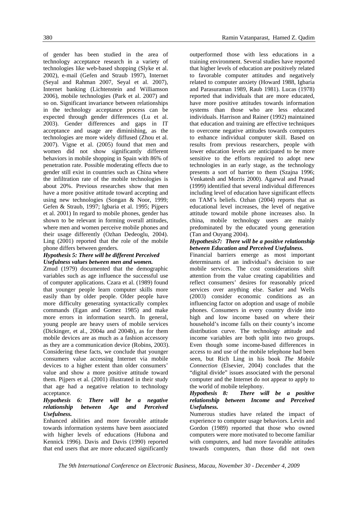of gender has been studied in the area of technology acceptance research in a variety of technologies like web-based shopping (Slyke et al. 2002), e-mail (Gefen and Straub 1997), Internet (Seyal and Rahman 2007, Seyal et al. 2007), Internet banking (Lichtenstein and Williamson 2006), mobile technologies (Park et al. 2007) and so on. Significant invariance between relationships in the technology acceptance process can be expected through gender differences (Lu et al. 2003). Gender differences and gaps in IT acceptance and usage are diminishing, as the technologies are more widely diffused (Zhou et al. 2007). Vigne et al. (2005) found that men and women did not show significantly different behaviors in mobile shopping in Spain with 86% of penetration rate. Possible moderating effects due to gender still exist in countries such as China where the infiltration rate of the mobile technologies is about 20%. Previous researches show that men have a more positive attitude toward accepting and using new technologies (Songan & Noor, 1999; Gefen & Straub, 1997; Igbaria et al. 1995; Pijpers et al. 2001) In regard to mobile phones, gender has shown to be relevant in forming overall attitudes, where men and women perceive mobile phones and their usage differently (Ozhan Dedeoglu, 2004). Ling (2001) reported that the role of the mobile phone differs between genders.

#### *Hypothesis 5: There will be different Perceived Usefulness values between men and women.*

Zmud (1979) documented that the demographic variables such as age influence the successful use of computer applications. Czara et al. (1989) found that younger people learn computer skills more easily than by older people. Older people have more difficulty generating syntactically complex commands (Egan and Gomez 1985) and make more errors in information search. In general, young people are heavy users of mobile services (Dickinger, et al., 2004a and 2004b), as for them mobile devices are as much as a fashion accessory as they are a communication device (Robins, 2003). Considering these facts, we conclude that younger consumers value accessing Internet via mobile devices to a higher extent than older consumers' value and show a more positive attitude toward them. Pijpers et al. (2001) illustrated in their study that age had a negative relation to technology acceptance.

#### *Hypothesis 6: There will be a negative relationship between Age and Perceived Usefulness.*

Enhanced abilities and more favorable attitude towards information systems have been associated with higher levels of educations (Hubona and Kennick 1996). Davis and Davis (1990) reported that end users that are more educated significantly

outperformed those with less educations in a training environment. Several studies have reported that higher levels of education are positively related to favorable computer attitudes and negatively related to computer anxiety (Howard 1988, Igbaria and Parasuraman 1989, Raub 1981). Lucas (1978) reported that individuals that are more educated, have more positive attitudes towards information systems than those who are less educated individuals. Harrison and Rainer (1992) maintained that education and training are effective techniques to overcome negative attitudes towards computers to enhance individual computer skill. Based on results from previous researchers, people with lower education levels are anticipated to be more sensitive to the efforts required to adopt new technologies in an early stage, as the technology presents a sort of barrier to them (Szajna 1996; Venkatesh and Morris 2000). Agarwal and Prasad (1999) identified that several individual differences including level of education have significant effects on TAM's beliefs. Ozhan (2004) reports that as educational level increases, the level of negative attitude toward mobile phone increases also. In china, mobile technology users are mainly predominated by the educated young generation (Tan and Ouyang 2004).

#### *Hypothesis7: There will be a positive relationship between Education and Perceived Usefulness.*

Financial barriers emerge as most important determinants of an individual's decision to use mobile services. The cost considerations shift attention from the value creating capabilities and reflect consumers' desires for reasonably priced services over anything else. Sarker and Wells (2003) consider economic conditions as an influencing factor on adoption and usage of mobile phones. Consumers in every country divide into high and low income based on where their household's income falls on their county's income distribution curve. The technology attitude and income variables are both split into two groups. Even though some income-based differences in access to and use of the mobile telephone had been seen, but Rich Ling in his book *The Mobile Connection* (Elsevier, 2004) concludes that the "digital divide" issues associated with the personal computer and the Internet do not appear to apply to the world of mobile telephony.

# *Hypothesis 8: There will be a positive relationship between Income and Perceived Usefulness.*

Numerous studies have related the impact of experience to computer usage behaviors. Levin and Gordon (1989) reported that those who owned computers were more motivated to become familiar with computers, and had more favorable attitudes towards computers, than those did not own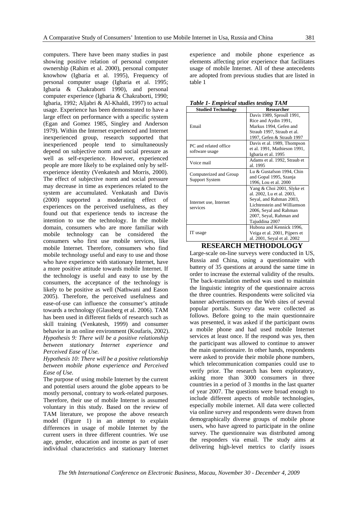computers. There have been many studies in past showing positive relation of personal computer ownership (Rahim et al. 2000), personal computer knowhow (Igbaria et al. 1995), Frequency of personal computer usage (Igbaria et al. 1995; Igbaria & Chakraborti 1990), and personal computer experience (Igbaria & Chakraborti, 1990; Igbaria, 1992; Aljabri & Al-Khaldi, 1997) to actual usage. Experience has been demonstrated to have a large effect on performance with a specific system (Egan and Gomez 1985, Singley and Anderson 1979). Within the Internet experienced and Internet inexperienced group, research supported that inexperienced people tend to simultaneously depend on subjective norm and social pressure as well as self-experience. However, experienced people are more likely to be explained only by selfexperience identity (Venkatesh and Morris, 2000). The effect of subjective norm and social pressure may decrease in time as experiences related to the system are accumulated. Venkatash and Davis (2000) supported a moderating effect of experiences on the perceived usefulness, as they found out that experience tends to increase the intention to use the technology. In the mobile domain, consumers who are more familiar with mobile technology can be considered the consumers who first use mobile services, like mobile Internet. Therefore, consumers who find mobile technology useful and easy to use and those who have experience with stationary Internet, have a more positive attitude towards mobile Internet. If the technology is useful and easy to use by the consumers, the acceptance of the technology is likely to be positive as well (Nathwani and Eason 2005). Therefore, the perceived usefulness and ease-of-use can influence the consumer's attitude towards a technology (Glassberg et al. 2006). TAM has been used in different fields of research such as skill training (Venkatesh, 1999) and consumer behavior in an online environment (Koufaris, 2002). *Hypothesis 9: There will be a positive relationship between stationary Internet experience and Perceived Ease of Use.* 

*Hypothesis 10: There will be a positive relationship between mobile phone experience and Perceived Ease of Use.* 

The purpose of using mobile Internet by the current and potential users around the globe appears to be mostly personal, contrary to work-related purposes. Therefore, their use of mobile Internet is assumed voluntary in this study. Based on the review of TAM literature, we propose the above research model (Figure 1) in an attempt to explain differences in usage of mobile Internet by the current users in three different countries. We use age, gender, education and income as part of user individual characteristics and stationary Internet experience and mobile phone experience as elements affecting prior experience that facilitates usage of mobile Internet. All of these antecedents are adopted from previous studies that are listed in table 1

*Table 1- Empirical studies testing TAM*

| <b>Studied Technology</b> | <b>Researcher</b>             |  |  |  |
|---------------------------|-------------------------------|--|--|--|
|                           | Davis 1989, Sproull 1991,     |  |  |  |
|                           | Rice and Aydin 1991,          |  |  |  |
| Email                     | Markus 1994, Gefen and        |  |  |  |
|                           | Straub 1997, Straub et al.    |  |  |  |
|                           | 1997, Gefen & Straub 1997     |  |  |  |
| PC and related office     | Davis et al. 1989, Thompson   |  |  |  |
|                           | et al. 1991, Mathieson 1991,  |  |  |  |
| software usage            | Igbaria et al. 1995           |  |  |  |
| Voice mail                | Adams et al. 1992, Straub et  |  |  |  |
|                           | al. 1995                      |  |  |  |
| Computerized and Group    | Lu & Gustafson 1994, Chin     |  |  |  |
|                           | and Gopal 1995, Szanja        |  |  |  |
| <b>Support System</b>     | 1996, Lou et al. 2000         |  |  |  |
|                           | Yang & Choi 2001, Slyke et    |  |  |  |
|                           | al. 2002, Lu et al. 2003,     |  |  |  |
| Internet use, Internet    | Seyal, and Rahman 2003,       |  |  |  |
| services                  | Lichtenstein and Williamson   |  |  |  |
|                           | 2006, Seyal and Rahman        |  |  |  |
|                           | 2007, Seyal, Rahman and       |  |  |  |
|                           | Tajuddina 2007                |  |  |  |
|                           | Hubona and Kennick 1996,      |  |  |  |
| IT usage                  | Veiga et al. 2001, Pijpers et |  |  |  |
|                           | al. 2001, Seyal et al. 2002   |  |  |  |

# **RESEARCH METHODOLOGY**

Large-scale on-line surveys were conducted in US, Russia and China, using a questionnaire with battery of 35 questions at around the same time in order to increase the external validity of the results. The back-translation method was used to maintain the linguistic integrity of the questionnaire across the three countries. Respondents were solicited via banner advertisements on the Web sites of several popular portals. Survey data were collected as follows. Before going to the main questionnaire was presented, it was asked if the participant owns a mobile phone and had used mobile Internet services at least once. If the respond was yes, then the participant was allowed to continue to answer the main questionnaire. In other hands, respondents were asked to provide their mobile phone numbers, which telecommunication companies could use to verify prior. The research has been exploratory, asking more than 3000 consumers in three countries in a period of 3 months in the last quarter of year 2007. The questions were broad enough to include different aspects of mobile technologies, especially mobile internet. All data were collected via online survey and respondents were drawn from demographically diverse groups of mobile phone users, who have agreed to participate in the online survey. The questionnaire was distributed among the responders via email. The study aims at delivering high-level metrics to clarify issues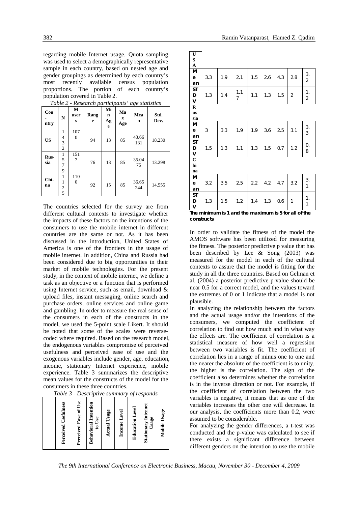regarding mobile Internet usage. Quota sampling was used to select a demographically representative sample in each country, based on nested age and gender groupings as determined by each country's most recently available census population proportions. The portion of each country's population covered in Table 2.

| Cou<br>ntry | N                             | M<br>user<br>s      | richetti on pun neepunno<br>Rang<br>e | Mi<br>n<br>Ag<br>e | Ma<br>X<br>Age | a <sub>n</sub> e <i>statistics</i><br>Mea<br>n | Std.<br>Dev. |
|-------------|-------------------------------|---------------------|---------------------------------------|--------------------|----------------|------------------------------------------------|--------------|
| <b>US</b>   | 1<br>4<br>3<br>$\overline{c}$ | 107<br>$\mathbf{0}$ | 94                                    | 13                 | 85             | 43.66<br>131                                   | 18.230       |
| Rus-<br>sia | 1<br>5<br>7<br>9              | 151<br>7            | 76                                    | 13                 | 85             | 35.04<br>75                                    | 13.298       |
| Chi-<br>na  | $\boldsymbol{2}$<br>5         | 110<br>$\mathbf{0}$ | 92                                    | 15                 | 85             | 36.65<br>244                                   | 14.555       |

*Table 2 - Research participants' age statistics* 

The countries selected for the survey are from different cultural contexts to investigate whether the impacts of these factors on the intentions of the consumers to use the mobile internet in different countries are the same or not. As it has been discussed in the introduction, United States of America is one of the frontiers in the usage of mobile internet. In addition, China and Russia had been considered due to big opportunities in their market of mobile technologies. For the present study, in the context of mobile internet, we define a task as an objective or a function that is performed using Internet service, such as email, download & upload files, instant messaging, online search and purchase orders, online services and online game and gambling. In order to measure the real sense of the consumers in each of the constructs in the model, we used the 5-point scale Likert. It should be noted that some of the scales were reversecoded where required. Based on the research model, the endogenous variables compromise of perceived usefulness and perceived ease of use and the exogenous variables include gender, age, education, income, stationary Internet experience, mobile experience. Table 3 summarizes the descriptive mean values for the constructs of the model for the consumers in these three countries.

*Table 3 - Descriptive summary of responds* 

| <b>Perceived Usefulness</b> | Perceived Ease of Use | Behavioral Intention<br>to Use | <b>Actual Usage</b> | Income Level | <b>Education Level</b> | <b>Stationary Internet</b><br>Usage | Mobile Usage |
|-----------------------------|-----------------------|--------------------------------|---------------------|--------------|------------------------|-------------------------------------|--------------|
|                             |                       |                                |                     |              |                        |                                     |              |

| U<br>S<br>$\mathbf{A}$         |     |     |          |     |     |     |                |                      |
|--------------------------------|-----|-----|----------|-----|-----|-----|----------------|----------------------|
| M<br>$\mathbf e$<br>an         | 3.3 | 1.9 | 2.1      | 1.5 | 2.6 | 4.3 | 2.8            | 3.<br>$\overline{2}$ |
| <b>ST</b><br>D<br>v            | 1.3 | 1.4 | 1.1<br>7 | 1.1 | 1.3 | 1.5 | $\overline{2}$ | 1.<br>$\overline{2}$ |
| $\bf R$<br><b>us</b><br>sia    |     |     |          |     |     |     |                |                      |
| M<br>$\mathbf e$<br>an         | 3   | 3.3 | 1.9      | 1.9 | 3.6 | 2.5 | 3.1            | 3.<br>3              |
| <b>ST</b><br>D<br>$\mathsf{V}$ | 1.5 | 1.3 | 1.1      | 1.3 | 1.5 | 0.7 | 1.2            | 0.<br>8              |
| $\overline{C}$<br>hi<br>na     |     |     |          |     |     |     |                |                      |
| M<br>e<br>an                   | 3.2 | 3.5 | 2.5      | 2.2 | 4.2 | 4.7 | 3.2            | 3.<br>$\mathbf{1}$   |
| <b>ST</b><br>D<br>V            | 1.3 | 1.5 | 1.2      | 1.4 | 1.3 | 0.6 | $\mathbf{1}$   | 1.<br>$\mathbf{1}$   |

**The minimum is 1 and the maximum is 5 for all of the constructs**

In order to validate the fitness of the model the AMOS software has been utilized for measuring the fitness. The posterior predictive p value that has been described by Lee & Song (2003) was measured for the model in each of the cultural contexts to assure that the model is fitting for the study in all the three countries. Based on Gelman et al. (2004) a posterior predictive p-value should be near 0.5 for a correct model, and the values toward the extremes of 0 or 1 indicate that a model is not plausible.

In analyzing the relationship between the factors and the actual usage and/or the intentions of the consumers, we computed the coefficient of correlation to find out how much and in what way the effects are. The coefficient of correlation is a statistical measure of how well a regression between two variables is fit. The coefficient of correlation lies in a range of minus one to one and the nearer the absolute of the coefficient is to unity, the higher is the correlation. The sign of the coefficient also determines whether the correlation is in the inverse direction or not. For example, if the coefficient of correlation between the two variables is negative, it means that as one of the variables increases the other one will decrease. In our analysis, the coefficients more than 0.2, were assumed to be considerable.

For analyzing the gender differences, a t-test was conducted and the p-value was calculated to see if there exists a significant difference between different genders on the intention to use the mobile

*The 9th International Conference on Electronic Business, Macau, November 30 - December 4, 2009*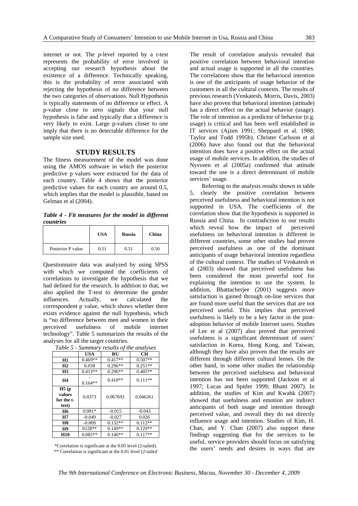internet or not. The *p*-level reported by a *t*-test represents the probability of error involved in accepting our research hypothesis about the existence of a difference. Technically speaking, this is the probability of error associated with rejecting the hypothesis of no difference between the two categories of observations. Null Hypothesis is typically statements of no difference or effect. A p-value close to zero signals that your null hypothesis is false and typically that a difference is very likely to exist. Large p-values closer to one imply that there is no detectable difference for the sample size used.

# **STUDY RESULTS**

The fitness measurement of the model was done using the AMOS software in which the posterior predictive p values were extracted for the data of each country. Table 4 shows that the posterior predictive values for each country are around 0.5, which implies that the model is plausible, based on Gelman et al (2004).

*Table 4 - Fit measures for the model in different countries* 

|                   | <b>USA</b> | <b>Russia</b> | China |
|-------------------|------------|---------------|-------|
| Posterior P value | 0.51       | 0.51          | 0.50  |

Questionnaire data was analyzed by using SPSS with which we computed the coefficients of correlations to investigate the hypothesis that we had defined for the research. In addition to that, we also applied the T-test to determine the gender influences. Actually, we calculated the correspondent p value, which shows whether there exists evidence against the null hypothesis, which is "no difference between men and women in their perceived usefulness of mobile internet technology". Table 5 summarizes the results of the analyses for all the target countries.

|                                        | USA       | RU        | CН        |
|----------------------------------------|-----------|-----------|-----------|
| <b>H1</b>                              | $0.469**$ | $0.417**$ | $0.507**$ |
| H <sub>2</sub>                         | 0.038     | $0.296**$ | $0.251**$ |
| H <sub>3</sub>                         | $0.413**$ | $0.296**$ | $0.405**$ |
| H4                                     | $0.164**$ | $0.418**$ | $0.111**$ |
| H5(p)<br>values<br>for the t-<br>test) | 0.0373    | 0.067693  | 0.046261  |
| <b>H6</b>                              | $0.081*$  | $-0.015$  | $-0.043$  |
| H7                                     | $-0.049$  | $-0.027$  | 0.026     |
| <b>H8</b>                              | $-0.009$  | $0.132**$ | $0.112**$ |
| H9                                     | 0128**    | $0.149**$ | $0.129**$ |
| <b>H10</b>                             | $0.085**$ | $0.140**$ | $0.117**$ |

*Table 5 - Summary results of the analyses* 

\*Correlation is significant at the 0.05 level (2-tailed). \*\* Correlation is significant at the 0.01 level (2-tailed The result of correlation analysis revealed that positive correlation between behavioral intention and actual usage is supported in all the countries. The correlations show that the behavioral intention is one of the anticipants of usage behavior of the customers in all the cultural contexts. The results of previous research (Venkatesh, Morris, Davis, 2003) have also proven that behavioral intention (attitude) has a direct effect on the actual behavior (usage). The role of intention as a predictor of behavior (e.g. usage) is critical and has been well established in IT services (Ajzen 1991; Sheppard et al. 1988; Taylor and Todd 1995b). Christer Carlsson et al (2006) have also found out that the behavioral intention does have a positive effect on the actual usage of mobile services. In addition, the studies of Nysveen et al (2005a) confirmed that attitude toward the use is a direct determinant of mobile services' usage.

Referring to the analysis results shown in table 5, clearly the positive correlation between perceived usefulness and behavioral intention is not supported in USA. The coefficients of the correlation show that the hypothesis is supported in Russia and China. In contradiction to our results which reveal how the impact of perceived usefulness on behavioral intention is different in different countries, some other studies had proven perceived usefulness as one of the dominant anticipants of usage behavioral intention regardless of the cultural context. The studies of Venkatesh et al (2003) showed that perceived usefulness has been considered the most powerful tool for explaining the intention to use the system. In addition, Bhattacherjee (2001) suggests more satisfaction is gained through on-line services that are found more useful than the services that are not perceived useful. This implies that perceived usefulness is likely to be a key factor in the postadoption behavior of mobile Internet users. Studies of Lee et al (2007) also proved that perceived usefulness is a significant determinant of users' satisfaction in Korea, Hong Kong, and Taiwan, although they have also proven that the results are different through different cultural lenses. On the other hand, in some other studies the relationship between the perceived usefulness and behavioral intention has not been supported (Jackson et al 1997; Lucas and Spitler 1999; Bhatti 2007). In addition, the studies of Kim and Kwahk (2007) showed that usefulness and emotion are indirect anticipants of both usage and intention through perceived value, and overall they do not directly influence usage and intention. Studies of Kim, H. Chan, and Y. Chan (2007) also support these findings suggesting that for the services to be useful, service providers should focus on satisfying the users' needs and desires in ways that are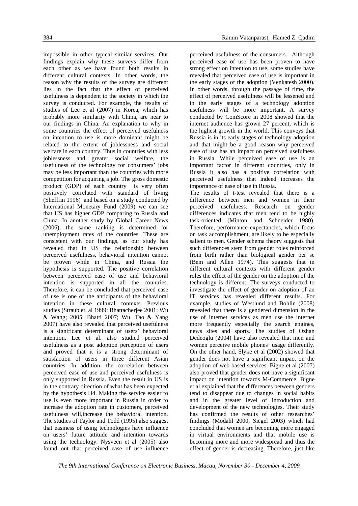impossible in other typical similar services. Our findings explain why these surveys differ from each other as we have found both results in different cultural contexts. In other words, the reason why the results of the survey are different lies in the fact that the effect of perceived usefulness is dependent to the society in which the survey is conducted. For example, the results of studies of Lee et al (2007) in Korea, which has probably more similarity with China, are near to our findings in China. An explanation to why in some countries the effect of perceived usefulness on intention to use is more dominant might be related to the extent of joblessness and social welfare in each country. Thus in countries with less joblessness and greater social welfare, the usefulness of the technology for consumers' jobs may be less important than the countries with more competition for acquiring a job. The gross domestic product (GDP) of each country is very often positively correlated with standard of living (Sheffrin 1996) and based on a study conducted by International Monetary Fund (2009) we can see that US has higher GDP comparing to Russia and China. In another study by Global Career News (2006), the same ranking is determined for unemployment rates of the countries. These are consistent with our findings, as our study has revealed that in US the relationship between perceived usefulness, behavioral intention cannot be proven while in China, and Russia the hypothesis is supported. The positive correlation between perceived ease of use and behavioral intention is supported in all the countries. Therefore, it can be concluded that perceived ease of use is one of the anticipants of the behavioral intention in these cultural contexts. Previous studies (Straub et. al 1999; Bhattacherjee 2001; Wu & Wang; 2005; Bhatti 2007; Wu, Tao & Yang 2007) have also revealed that perceived usefulness is a significant determinant of users' behavioral intention. Lee et al. also studied perceived usefulness as a post adoption perception of users and proved that it is a strong determinant of satisfaction of users in three different Asian countries. In addition, the correlation between perceived ease of use and perceived usefulness is only supported in Russia. Even the result in US is in the contrary direction of what has been expected by the hypothesis H4. Making the service easier to use is even more important in Russia in order to increase the adoption rate in customers, perceived usefulness will,increase the behavioral intention. The studies of Taylor and Todd (1995) also suggest that easiness of using technologies have influence on users' future attitude and intention towards using the technology. Nysveen et al (2005) also found out that perceived ease of use influence

perceived usefulness of the consumers. Although perceived ease of use has been proven to have strong effect on intention to use, some studies have revealed that perceived ease of use is important in the early stages of the adoption (Venkatesh 2000). In other words, through the passage of time, the effect of perceived usefulness will be lessened and in the early stages of a technology adoption usefulness will be more important. A survey conducted by ComScore in 2008 showed that the internet audience has grown 27 percent, which is the highest growth in the world. This conveys that Russia is in its early stages of technology adoption and that might be a good reason why perceived ease of use has an impact on perceived usefulness in Russia. While perceived ease of use is an important factor in different countries, only in Russia it also has a positive correlation with perceived usefulness that indeed increases the importance of ease of use in Russia.

The results of t-test revealed that there is a difference between men and women in their perceived usefulness. Research on gender differences indicates that men tend to be highly task-oriented (Minton and Schneider 1980). Therefore, performance expectancies, which focus on task accomplishment, are likely to be especially salient to men. Gender schema theory suggests that such differences stem from gender roles reinforced from birth rather than biological gender per se (Bem and Allen 1974). This suggests that in different cultural contexts with different gender roles the effect of the gender on the adoption of the technology is different. The surveys conducted to investigate the effect of gender on adoption of an IT services has revealed different results. For example, studies of Westlund and Bohlin (2008) revealed that there is a gendered dimension in the use of internet services as men use the internet more frequently especially the search engines, news sites and sports. The studies of Ozhan Dedeoglu (2004) have also revealed that men and women perceive mobile phones' usage differently. On the other hand, Slyke et al (2002) showed that gender does not have a significant impact on the adoption of web based services. Bigne et al (2007) also proved that gender does not have a significant impact on intention towards M-Commerce. Bigne et al explained that the differences between genders tend to disappear due to changes in social habits and in the greater level of introduction and development of the new technologies. Their study has confirmed the results of other researches' findings (Modahl 2000, Siegel 2003) which had concluded that women are becoming more engaged in virtual environments and that mobile use is becoming more and more widespread and thus the effect of gender is decreasing. Therefore, just like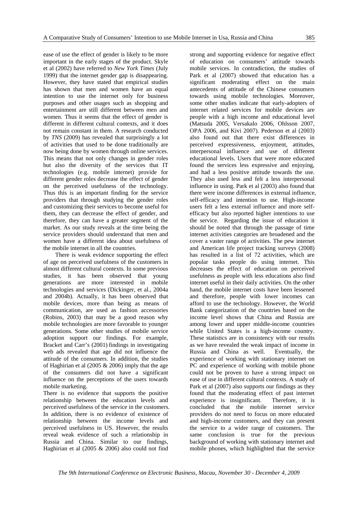ease of use the effect of gender is likely to be more important in the early stages of the product. Skyle et al (2002) have referred to *New York Times* (July 1999) that the internet gender gap is disappearing. However, they have stated that empirical studies has shown that men and women have an equal intention to use the internet only for business purposes and other usages such as shopping and entertainment are still different between men and women. Thus it seems that the effect of gender is different in different cultural contexts, and it does not remain constant in them. A research conducted by *TNS* (2009) has revealed that surprisingly a lot of activities that used to be done traditionally are now being done by women through online services. This means that not only changes in gender roles but also the diversity of the services that IT technologies (e.g. mobile internet) provide for different gender roles decrease the effect of gender on the perceived usefulness of the technology. Thus this is an important finding for the service providers that through studying the gender roles and customizing their services to become useful for them, they can decrease the effect of gender, and therefore, they can have a greater segment of the market. As our study reveals at the time being the service providers should understand that men and women have a different idea about usefulness of the mobile internet in all the countries.

There is weak evidence supporting the effect of age on perceived usefulness of the customers in almost different cultural contexts. In some previous studies, it has been observed that young generations are more interested in mobile technologies and services (Dickinger, et al., 2004a and 2004b). Actually, it has been observed that mobile devices, more than being as means of communication, are used as fashion accessories (Robins, 2003) that may be a good reason why mobile technologies are more favorable to younger generations. Some other studies of mobile service adoption support our findings. For example, Bracket and Carr's (2001) findings in investigating web ads revealed that age did not influence the attitude of the consumers. In addition, the studies of Haghirian et al (2005 & 2006) imply that the age of the consumers did not have a significant influence on the perceptions of the users towards mobile marketing.

There is no evidence that supports the positive relationship between the education levels and perceived usefulness of the service in the customers. In addition, there is no evidence of existence of relationship between the income levels and perceived usefulness in US. However, the results reveal weak evidence of such a relationship in Russia and China. Similar to our findings, Haghirian et al (2005 & 2006) also could not find

strong and supporting evidence for negative effect of education on consumers' attitude towards mobile services. In contradiction, the studies of Park et al (2007) showed that education has a significant moderating effect on the main antecedents of attitude of the Chinese consumers towards using mobile technologies. Moreover, some other studies indicate that early-adopters of internet related services for mobile devices are people with a high income and educational level (Matsuda 2005, Versakalo 2006, Ohlsson 2007, OPA 2006, and Kivi 2007). Pederson et al (2003) also found out that there exist differences in perceived expressiveness, enjoyment, attitudes, interpersonal influence and use of different educational levels. Users that were more educated found the services less expressive and enjoying, and had a less positive attitude towards the use. They also used less and felt a less interpersonal influence in using. Park et al (2003) also found that there were income differences in external influence, self-efficacy and intention to use. High-income users felt a less external influence and more selfefficacy but also reported higher intentions to use the service. Regarding the issue of education it should be noted that through the passage of time internet activities categories are broadened and the cover a vaster range of activities. The pew internet and American life project tracking surveys (2008) has resulted in a list of 72 activities, which are popular tasks people do using internet. This decreases the effect of education on perceived usefulness as people with less educations also find internet useful in their daily activities. On the other hand, the mobile internet costs have been lessened and therefore, people with lower incomes can afford to use the technology. However, the World Bank categorization of the countries based on the income level shows that China and Russia are among lower and upper middle-income countries while United States is a high-income country. These statistics are in consistency with our results as we have revealed the weak impact of income in Russia and China as well. Eventually, the experience of working with stationary internet on PC and experience of working with mobile phone could not be proven to have a strong impact on ease of use in different cultural contexts. A study of Park et al (2007) also supports our findings as they found that the moderating effect of past internet experience is insignificant. Therefore, it is concluded that the mobile internet service providers do not need to focus on more educated and high-income customers, and they can present the service to a wider range of customers. The same conclusion is true for the previous background of working with stationary internet and mobile phones, which highlighted that the service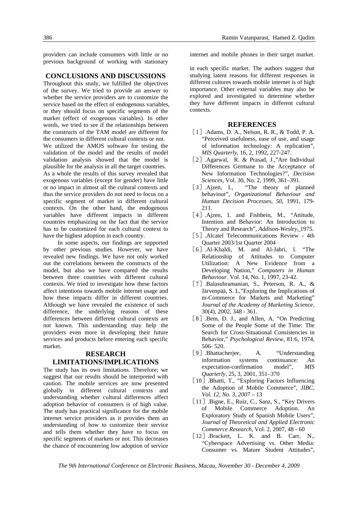providers can include consumers with little or no previous background of working with stationary

#### **CONCLUSIONS AND DISCUSSIONS**

Throughout this study, we fulfilled the objectives of the survey. We tried to provide an answer to whether the service providers are to customize the service based on the effect of endogenous variables, or they should focus on specific segments of the market (effect of exogenous variables). In other words, we tried to see if the relationships between the constructs of the TAM model are different for the consumers in different cultural contexts or not.

We utilized the AMOS software for testing the validation of the model and the results of model validation analysis showed that the model is plausible for the analysis in all the target countries. As a whole the results of this survey revealed that exogenous variables (except for gender) have little or no impact in almost all the cultural contexts and thus the service providers do not need to focus on a specific segment of market in different cultural contexts. On the other hand, the endogenous variables have different impacts in different countries emphasizing on the fact that the service has to be customized for each cultural context to have the highest adoption in each country.

In some aspects, our findings are supported by other previous studies. However, we have revealed new findings. We have not only worked out the correlations between the constructs of the model, but also we have compared the results between three countries with different cultural contexts. We tried to investigate how these factors affect intentions towards mobile internet usage and how these impacts differ in different countries. Although we have revealed the existence of such difference, the underlying reasons of these differences between different cultural contexts are not known. This understanding may help the providers even more in developing their future services and products before entering each specific market.

# **RESEARCH LIMITATIONS/IMPLICATIONS**

The study has its own limitations. Therefore; we suggest that our results should be interpreted with caution. The mobile services are now presented globally in different cultural contexts and understanding whether cultural differences affect adoption behavior of consumers is of high value. The study has practical significance for the mobile internet service providers as it provides them an understanding of how to customize their service and tells them whether they have to focus on specific segments of markets or not. This decreases the chance of encountering low adoption of service

internet and mobile phones in their target market.

in each specific market. The authors suggest that studying latent reasons for different responses in different cultures towards mobile internet is of high importance. Other external variables may also be explored and investigated to determine whether they have different impacts in different cultural contexts.

#### **REFERENCES**

- [1].Adams, D. A., Nelson, R. R., & Todd, P. A. "Perceived usefulness, ease of use, and usage of information technology: A replication", *MIS Quarterly*, 16, 2, 1992, 227-247.
- [2] Agarwal, R. & Prasad, J.,"Are Individual Differences Germane to the Acceptance of New Information Technologies?", *Decision Sciences*, Vol. 30, No. 2, 1999, 361–391.
- [3] Ajzen, I., "The theory of planned behaviour", *Organizational Behaviour and Human Decision Processes, 50,* 1991, 179- 211.
- [4] .Ajzen, I. and Fishbein, M., "Attitude, Intention and Behavior: An Introduction to Theory and Research", *Addison-Wesley*, 1975.
- [5] Alcatel Telecommunications Review 4th Quarter 2003/1st Quarter 2004
- [6] .Al-Khaldi, M. and Al-Jabri, I. "The Relationship of Attitudes to Computer Utilization: A New Evidence from a Developing Nation," *Computers in Human Behaviour*. Vol. 14, No. 1, 1997, 23-42.
- [7] Balasubramanian, S., Peterson, R. A., & Järvenpää, S. L,"Exploring the Implications of m-Commerce for Markets and Marketing" *Journal of the Academy of Marketing Science*, 30(4), 2002, 348 - 361.
- [8] .Bem, D. J., and Allen, A. "On Predicting Some of the People Some of the Time: The Search for Cross-Situational Consistencies in Behavior," *Psychological Review,* 81:6, 1974, 506- 520.
- [9] .Bhattacherjee, A. "Understanding information systems continuance: An expectation-confirmation model", *MIS Quarterly*, 25, 3, 2001, 351–370
- [10] .Bhatti, T., "Exploring Factors Influencing the Adoption of Mobile Commerce", *JIBC, Vol. 12, No. 3, 2007* – 13
- [11] .Bigne, E., Ruiz, C., Sanz, S., "Key Drivers of Mobile Commerce Adoption. An Exploratory Study of Spanish Mobile Users", *Journal of Theoretical and Applied Electronic Commerce Research*, Vol. 2, 2007, 48 - 60
- [12] Brackett, L. K. and B. Carr, N., "Cyberspace Advertising vs. Other Media: Consumer vs. Mature Student Attitudes",

*The 9th International Conference on Electronic Business, Macau, November 30 - December 4, 2009*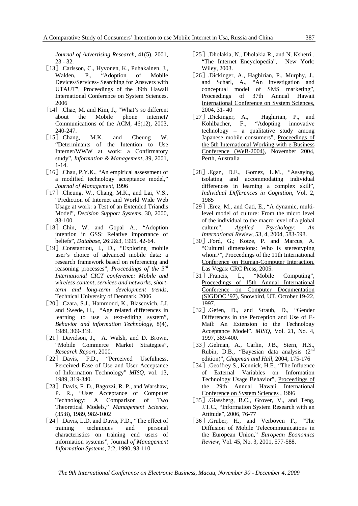*Journal of Advertising Research*, 41(5), 2001, 23 - 32.

- [13].Carlsson, C., Hyvonen, K., Puhakainen, J., Walden, P., "Adoption of Mobile Devices/Services- Searching for Answers with UTAUT", Proceedings of the 39th Hawaii International Conference on System Sciences, 2006
- [14] Chae, M. and Kim, J., "What's so different about the Mobile phone internet? Communications of the ACM, 46(12), 2003, 240-247.
- [15] Chang, M.K. and Cheung W. "Determinants of the Intention to Use Internet/WWW at work: a Confirmatory study", *Information & Management*, 39, 2001, 1-14.
- [16] .Chau, P.Y.K., "An empirical assessment of a modified technology acceptance model," *Journal of Management*, 1996
- [17] .Cheung, W., Chang, M.K., and Lai, V.S., "Prediction of Internet and World Wide Web Usage at work: a Test of an Extended Triandis Model", *Decision Support Systems*, 30, 2000, 83-100.
- [18] Chin, W. and Gopal A., "Adoption intention in GSS: Relative importance of beliefs", *Database*, 26:2&3, 1995, 42-64.
- [19] Constantiou, I., D., "Exploring mobile" user's choice of advanced mobile data: a research framework based on referencing and reasoning processes", *Proceedings of the 3rd International CICT conference: Mobile and wireless content, services and networks, shortterm and long-term development trends*, Technical University of Denmark, 2006
- [20] .Czara, S.J., Hammond, K., Blascovich, J.J. and Swede, H., "Age related differences in learning to use a text-editing system", *Behavior and information Technology*, 8(4), 1989, 309-319.
- [21] .Davidson, J., A. Walsh, and D. Brown, "Mobile Commerce Market Strategies", *Research Report*, 2000.
- [22] Davis, F.D., "Perceived Usefulness, Perceived Ease of Use and User Acceptance of Information Technology" *MISQ*, vol. 13, 1989, 319-340.
- [23] Davis, F. D., Bagozzi, R. P., and Warshaw, P. R., "User Acceptance of Computer Technology: A Comparison of Two Theoretical Models," *Management Science,* (35:8), 1989, 982-1002
- [24] .Davis, L.D. and Davis, F.D., "The effect of training techniques and personal characteristics on training end users of information systems", Journal *of Management Information Systems*, 7:2, 1990, 93-110
- [25] .Dholakia, N., Dholakia R., and N. Kshetri, "The Internet Encyclopedia", New York: Wiley, 2003.
- [26] .Dickinger, A., Haghirian, P., Murphy, J., and Scharl, A., "An investigation and conceptual model of SMS marketing", Proceedings of 37th Annual Hawaii International Conference on System Sciences, 2004, 31- 40
- [27] .Dickinger, A., Haghirian, P., and Kohlbacher, F., "Adopting innovative technology – a qualitative study among Japanese mobile consumers", Proceedings of the 5th International Working with e-Business Conference (WeB-2004), November 2004, Perth, Australia
- [28] .Egan, D.E., Gomez, L.M., "Assaying, isolating and accommodating individual differences in learning a complex skill", *Individual Differences in Cognition*, Vol. 2, 1985
- [29] .Erez, M., and Gati, E., "A dynamic, multilevel model of culture: From the micro level of the individual to the macro level of a global culture", *Applied Psychology: An International Review*, 53, 4, 2004, 583-598.
- [30] Ford, G.; Kotze, P. and Marcus, A. "Cultural dimensions: Who is stereotyping whom?", Proceedings of the 11th International Conference on Human-Computer Interaction. Las Vegas: CRC Press, 2005.
- [31] Francis, L., "Mobile Computing", Proceedings of 15th Annual International Conference on Computer Documentation (SIGDOC '97), Snowbird, UT, October 19-22, 1997.
- [32] Gefen, D., and Straub, D., "Gender Differences in the Perception and Use of E-Mail: An Extension to the Technology Acceptance Model". *MISQ*, Vol. 21, No. 4, 1997, 389-400.
- [33] Gelman, A., Carlin, J.B., Stern, H.S., Rubin, D.B., "Bayesian data analysis (2nd edition)", *Chapman and Hall,* 2004, 175-176
- [34] Geoffrey S., Kennick, H.E., "The Influence of External Variables on Information Technology Usage Behavior", Proceedings of the 29th Annual Hawaii International Conference on System Sciences , 1996
- [35] .Glassberg, B.C., Grover, V., and Teng, J.T.C., "Information System Research with an Attitude", 2006, 76-77
- [36] .Gruber, H., and Verboven F., "The Diffusion of Mobile Telecommunications in the European Union," *European Economics Review*, Vol. 45, No. 3, 2001, 577-588.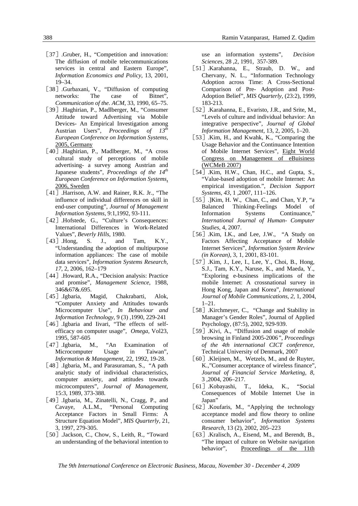- [37] .Gruber, H., "Competition and innovation: The diffusion of mobile telecommunications services in central and Eastern Europe", *Information Economics and Policy*, 13, 2001, 19–34.
- [38] Gurbaxani, V., "Diffusion of computing networks: The case of Bitnet", *Communication of the. ACM*, 33, 1990, 65–75.
- [39].Haghirian, P., Madlberger, M., "Consumer Attitude toward Advertising via Mobile Devices- An Empirical Investigation among Austrian Users", *Proceedings of 13th European Conference on Information Systems,* 2005, Germany
- [40] .Haghirian, P., Madlberger, M., "A cross cultural study of perceptions of mobile advertising- a survey among Austrian and Japanese students", *Proceedings of the 14th European Conference on Information Systems*, 2006, Sweden
- [41] .Harrison, A.W. and Rainer, R.K. Jr., "The influence of individual differences on skill in end-user computing", *Journal of Management Information Systems*, 9:1,1992, 93-111.
- [42] .Hofstede, G., "Culture's Consequences: International Differences in Work-Related Values", *Beverly Hills*, 1980.
- [43] Hong, S. J., and Tam, K.Y., "Understanding the adoption of multipurpose information appliances: The case of mobile data services", *Information Systems Research, 17*, 2, 2006, 162–179
- [44] .Howard, R.A., "Decision analysis: Practice and promise", *Management Science*, 1988, 346&67&.695.
- [45] Igbaria, Magid, Chakrabarti, Alok, "Computer Anxiety and Attitudes towards Microcomputer Use", *In Behaviour and Information Technology*, 9 (3) ,1990, 229-241
- [46] Igbaria and Iivari, "The effects of selfefficacy on computer usage", *Omega*, Vol23, 1995, 587-605
- [47] Igbaria, M., "An Examination of Microcomputer Usage in Taiwan", *Information & Management*, 22, 1992, 19-28.
- [48] Jgbaria, M., and Parasuraman, S., "A path analytic study of individual characteristics, computer anxiety, and attitudes towards microcomputers", *Journal of Management*, 15:3, 1989, 373-388.
- [49] .Igbaria, M., Zinatelli, N., Cragg, P., and Cavaye, A.L.M., "Personal Computing Acceptance Factors in Small Firms: A Structure Equation Model", *MIS Quarterly*, 21, 3, 1997, 279-305.
- [50] Jackson, C., Chow, S., Leith, R., "Toward" an understanding of the behavioral intention to

use an information systems", *Decision Sciences*, 28 ,2, 1991, 357-389.

- [51].Karahanna, E., Straub, D. W., and Chervany, N. L., "Information Technology Adoption across Time: A Cross-Sectional Comparison of Pre- Adoption and Post-Adoption Belief", *MIS Quarterly,* (23:2), 1999, 183-213.
- [52] Karahanna, E., Evaristo, J.R., and Srite, M., "Levels of culture and individual behavior: An integrative perspective", *Journal of Global Information Management*, 13, 2, 2005, 1–20.
- [53] Kim, H., and Kwahk, K., "Comparing the Usage Behavior and the Continuance Intention of Mobile Internet Services", Eight World Congress on Management of eBuisiness (WCMeB 2007)
- [54] Kim, H.W., Chan, H.C., and Gupta, S., "Value-based adoption of mobile Internet: An empirical investigation.", *Decision Support Systems, 43*, 1 ,2007, 111–126.
- [55] .]Kim, H. W., Chan, C., and Chan, Y.P, "a Balanced Thinking-Feelings Model of Information Systems Continuance," *International Journal of Human- Computer Studies*, 4, 2007.
- [56] Kim, I.K., and Lee, J.W., "A Study on Factors Affecting Acceptance of Mobile Internet Services", *Information System Review (in Korean)*, 3, 1, 2001, 83-101.
- [57] .Kim, J., Lee, I., Lee, Y., Choi, B., Hong, S.J., Tam, K.Y., Naruse, K., and Maeda, Y., "Exploring e-business implications of the mobile Internet: A crossnational survey in Hong Kong, Japan and Korea", *International Journal of Mobile Communications, 2*, 1, 2004, 1–21.
- [58] Kirchmeyer, C., "Change and Stability in Manager's Gender Roles", Journal of Applied Psychology, (87:5), 2002, 929-939.
- [59].Kivi, A., *"*Diffusion and usage of mobile browsing in Finland 2005-2006*"*, *Proceedings of the 4th international CICT conference*, Technical University of Denmark, 2007
- [60] .Kleijnen, M., Wetzels, M., and de Ruyter, K.,"Consumer acceptance of wireless finance", *Journal of Financial Service Marketing, 8*, 3 ,2004, 206–217.
- [61].Kobayashi, T., Ideka, K., "Social Consequences of Mobile Internet Use in Japan"
- [62] Koufaris, M., "Applying the technology acceptance model and flow theory to online consumer behavior", *Information Systems Research*, 13 (2), 2002, 205–223
- [63] Kralisch, A., Eisend, M., and Berendt, B., "The impact of culture on Website navigation behavior", Proceedings of the 11th

*The 9th International Conference on Electronic Business, Macau, November 30 - December 4, 2009*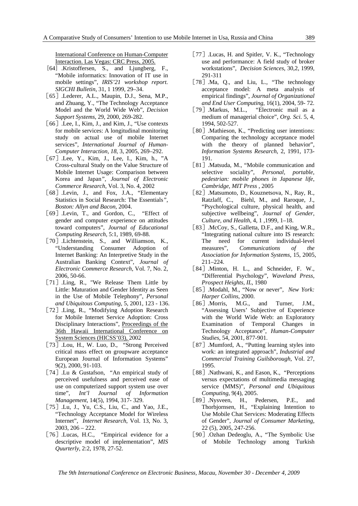International Conference on Human-Computer Interaction. Las Vegas: CRC Press, 2005.

- [64] .Kristoffersen, S., and Ljungberg, F., "Mobile informatics: Innovation of IT use in mobile settings", *IRIS'21 workshop report. SIGCHI Bulletin*, 31, 1 1999, 29–34.
- [65].Lederer, A.L., Maupin, D.J., Sena, M.P., and Zhuang, Y., "The Technology Acceptance Model and the World Wide Web", *Decision Support Systems*, 29, 2000, 269-282.
- [66] .Lee, I., Kim, J., and Kim, J., "Use contexts for mobile services: A longitudinal monitoring study on actual use of mobile Internet services", *International Journal of Human-Computer Interaction, 18*, 3, 2005, 269–292.
- [67] Lee, Y., Kim, J., Lee, I., Kim, h., "A Cross-cultural Study on the Value Structure of Mobile Internet Usage: Comparison between Korea and Japan*", Journal of Electronic Commerce Research*, Vol. 3, No. 4, 2002
- [68] .Levin, J., and Fox, J.A., "Elementary Statistics in Social Research: The Essentials*"*, *Boston: Allyn and Bacon,* 2004.
- [69] Levin, T., and Gordon, C., "Effect of gender and computer experience on attitudes toward computers", *Journal of Educational Computing Research*, 5:1, 1989, 69-88.
- [70] Lichtenstein, S., and Williamson, K., "Understanding Consumer Adoption of Internet Banking: An Interpretive Study in the Australian Banking Context", *Journal of Electronic Commerce Research*, Vol. 7, No. 2, 2006, 50-66.
- [71] .Ling, R., "We Release Them Little by Little: Maturation and Gender Identity as Seen in the Use of Mobile Telephony", *Personal and Ubiquitous Computing*, 5, 2001, 123 - 136.
- [72] Ling, R., "Modifying Adoption Research for Mobile Internet Service Adoption: Cross Disciplinary Interactions", Proceedings of the 36th Hawaii International Conference on System Sciences (HICSS'03), 2002
- [73] .Lou, H., W. Luo, D., "Strong Perceived critical mass effect on groupware acceptance European Journal of Information Systems" 9(2), 2000, 91-103.
- [74] Lu & Gustafson, "An empirical study of perceived usefulness and perceived ease of use on computerized support system use over time", *Int'l Journal of Information Management*, 14(5), 1994, 317- 329.
- [75] Lu, J., Yu, C.S., Liu, C., and Yao, J.E., "Technology Acceptance Model for Wireless Internet", *Internet Research*, Vol. 13, No. 3, 2003, 206 – 222.
- [76] Lucas, H.C., "Empirical evidence for a descriptive model of implementation", *MIS Quurterly*, 2:2, 1978, 27-52.
- [77] .Lucas, H. and Spitler, V. K., "Technology use and performance: A field study of broker workstations", *Decision Sciences*, 30,2, 1999, 291-311
- [78] Ma, Q., and Liu, L., "The technology acceptance model: A meta analysis of empirical findings", *Journal of Organizational and End User Computing*, 16(1), 2004, 59- 72.
- [79] Markus, M.L., "Electronic mail as a medium of managerial choice", *Org. Sci*. 5, 4, 1994, 502-527.
- [80] .Mathieson, K., "Predicting user intentions: Comparing the technology acceptance model with the theory of planned behavior", *Information Systems Research*, 2, 1991, 173- 191.
- [81].Matsuda, M., "Mobile communication and selective sociality", *Personal, portable, pedestrian: mobile phones in Japanese life*, *Cambridge, MIT Press* , 2005
- [82].Matsumoto, D., Kouznetsova, N., Ray, R., Ratzlaff, C., Biehl, M., and Raroque, J., "Psychological culture, physical health, and subjective wellbeing", *Journal of Gender, Culture, and Health*, 4, 1 ,1999, 1–18.
- [83] McCoy, S., Galletta, D.F., and King, W.R., "Integrating national culture into IS research: The need for current individual-level measures", *Communications of the Association for Information Systems*, 15, 2005, 211–224.
- [84].Minton, H. L., and Schneider, F. W., "Differential Psychology", *Waveland Press, Prospect Heights, IL*, 1980
- [85].Modahl, M., "Now or never", *New York: Harper Collins*, 2000.
- [86] Morris, M.G., and Turner, J.M., "Assessing Users' Subjective of Experience with the World Wide Web: an Exploratory Examination of Temporal Changes in Technology Acceptance", *Human-Computer Studies*, 54, 2001, 877-901.
- [87] .Mumford, A., "Putting learning styles into work: an integrated approach", *Industrial and Commercial Training Guilsborough,* Vol. 27, 1995.
- [88] Nathwani, K., and Eason, K., "Perceptions" versus expectations of multimedia messaging service (MMS)", *Personal and Ubiquitous Computing*, 9(4), 2005.
- [89] Nysveen, H., Pedersen, P.E., and Thorbjornsen, H., "Explaining Intention to Use Mobile Chat Services: Moderating Effects of Gender", *Journal of Consumer Marketing*, 22 (5), 2005, 247-256.
- [90] .Ozhan Dedeoglu, A., "The Symbolic Use of Mobile Technology among Turkish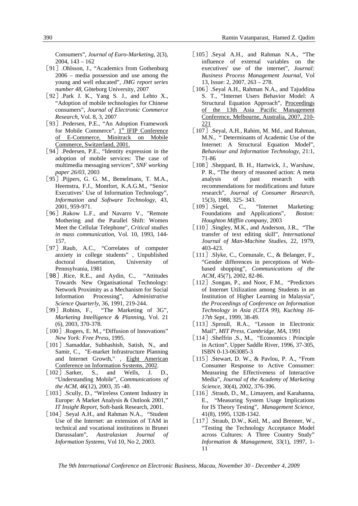Consumers", *Journal of Euro-Marketing*, 2(3), 2004, 143 – 162

- [91] .Ohlsson, J., "Academics from Gothenburg 2006 – media possession and use among the young and well educated", *JMG report series number 48*, Göteborg University, 2007
- [92] Park J. K., Yang S. J., and Lehto X., "Adoption of mobile technologies for Chinese consumers", *Journal of Electronic Commerce Research*, Vol. 8, 3, 2007
- [93].Pedersen, P.E., "An Adoption Framework for Mobile Commerce",  $1<sup>st</sup>$  IFIP Conference of E-Commerce, Minitrack on Mobile Commerce, Switzerland, 2001.
- [94] .Pedersen, P.E., "Identity expression in the adoption of mobile services: The case of multimedia messaging services", *SNF working paper 26/03,* 2003
- [95] .Pijpers, G. G. M., Bemelmans, T. M.A., Heemstra, F.J., Montfort, K.A.G.M., "Senior Executives' Use of Information Technology", *Information and Software Technology*, 43, 2001, 959-971.
- [96] .Rakow L.F., and Navarro V., "Remote Mothering and the Parallel Shift: Women Meet the Cellular Telephone", *Critical studies in mass communication*, Vol. 10, 1993, 144- 157,
- [97] Raub, A.C., "Correlates of computer anxiety in college students" , Unpublished doctoral dissertation, University of Pennsylvania, 1981
- [98] .Rice, R.E., and Aydin, C., "Attitudes Towards New Organisational Technology: Network Proximity as a Mechanism for Social Information Processing", *Administrative Science Quarterly*, 36, 1991, 219-244.
- [99] Robins, F., "The Marketing of 3G", *Marketing Intelligence & Planning*, Vol. 21 (6), 2003, 370-378.
- [100] .Rogers, E. M., "Diffusion of Innovations" *New York: Free Press*, 1995.
- [101] .Samaddar, Subhashish, Satish, N., and Samir, C., "E-market Infrastructure Planning and Internet Growth," , Eight American Conference on Information Systems, 2002.
- [102] Sarker, S., and Wells, J. D., "Understanding Mobile", *Communications of the ACM*, 46(12), 2003, 35 -40.
- [103] .Scully, D., "Wireless Content Industry in Europe: A Market Analysis & Outlook 2001," *IT Insight Report*, Soft-bank Research, 2001.
- [104] .Seyal A.H., and Rahman N.A., "Student" Use of the Internet: an extension of TAM in technical and vocational institutions in Brunei Darussalam", *Australasian Journal of Information Systems*, Vol 10, No 2, 2003.
- [105] Seyal A.H., and Rahman N.A., "The influence of external variables on the executives' use of the internet", *Journal: Business Process Management Journal*, Vol 13, Issue: 2, 2007, 263 – 278.
- [106] .Seyal A.H., Rahman N.A., and Tajuddina S. T., "Internet Users Behavior Model: A Structural Equation Approach", Proceedings of the 13th Asia Pacific Management Conference, Melbourne, Australia, 2007, 210- 221
- [107] .Seyal, A.H., Rahim, M. Md., and Rahman, M.N., " Determinants of Academic Use of the Internet: A Structural Equation Model", *Behaviour and Information Technology*, 21:1, 71-86
- [108] .Sheppard, B. H., Hartwick, J., Warshaw, P. R., "The theory of reasoned action: A meta analysis of past research with recommendations for modifications and future research", *Journal of Consumer Research*, 15(3), 1988, 325- 343.
- [109] Siegel, C., "Internet Marketing: Foundations and Applications", *Boston: Houghton Mifflin company*, 2003
- [110] Singley, M.K., and Anderson, J.R., "The transfer of text editing skill", *International Journal of Man-Machine Studies*, 22, 1979, 403-423.
- [111]. Slyke, C., Comunale, C., & Belanger, F., "Gender differences in perceptions of Webbased shopping", *Communications of the ACM*, 45(7), 2002, 82-86.
- [112] .Songan, P., and Noor, F.M., "Predictors" of Internet Utilization among Students in an Institution of Higher Learning in Malaysia", *the Proceedings of Conference on Information Technology in Asia (CITA 99), Kuching 16- 17th Sept.*, 1999, 38-49.
- [113] Sproull, R.A., "Lesson in Electronic Mail", *MIT Press, Cambridge, MA*, 1991
- [114] .Sheffrin ,S., M., "Economics : Principle in Action", Upper Saddle River, 1996, 37-305, ISBN 0-13-063085-3
- [115] .Stewart, D. W., & Pavlou, P. A., "From Consumer Response to Active Consumer: Measuring the Effectiveness of Interactive Media", *Journal of the Academy of Marketing Science*, 30(4), 2002, 376-396.
- [116] Straub, D., M., Limayem, and Karahanna, E., "Measuring System Usage Implications for IS Theory Testing", *Management Science,*  41(8), 1995, 1328-1342.
- [117] .Straub, D.W., Keil, M., and Brenner, W., "Testing the Technology Acceptance Model across Cultures: A Three Country Study" *Information & Management,* 33(1), 1997, 1- 11

*The 9th International Conference on Electronic Business, Macau, November 30 - December 4, 2009*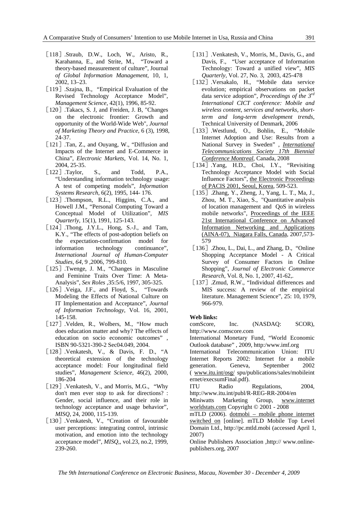- [118] Straub, D.W., Loch, W., Aristo, R., Karahanna, E., and Strite, M., "Toward a theory-based measurement of culture", Journal *of Global Information Management*, 10, 1, 2002, 13–23.
- [119].Szajna, B., "Empirical Evaluation of the Revised Technology Acceptance Model", *Management Science,* 42(1), 1996, 85-92.
- [120].Takacs, S. J. and Freiden, J. B. "Changes" on the electronic frontier: Growth and opportunity of the World-Wide Web", *Journal of Marketing Theory and Practice*, 6 (3), 1998, 24-37.
- [121] .Tan, Z., and Ouyang, W., "Diffusion and Impacts of the Internet and E-Commerce in China", *Electronic Markets*, Vol. 14, No. 1, 2004, 25-35.
- [122] Taylor, S., and Todd, P.A., "Understanding information technology usage: A test of competing models", *Information Systems Research*, 6(2), 1995, 144- 176.
- [123] .Thompson, R.L., Higgins, C.A., and Howell J.M., "Personal Computing Toward a Conceptual Model of Utilization", *MIS Quarterly,* 15(1), 1991, 125-143.
- $\lceil 124 \rceil$  .Thong, J.Y.L., Hong, S.-J., and Tam, K.Y., "The effects of post-adoption beliefs on the expectation-confirmation model for information technology continuance", *International Journal of Human-Computer Studies, 64*, 9 ,2006, 799-810.
- [125] .Twenge, J. M., "Changes in Masculine and Feminine Traits Over Time: A Meta-Analysis", *Sex Roles* ,35:5/6, 1997, 305-325.
- [126] Veiga, J.F., and Floyd, S., "Towards" Modeling the Effects of National Culture on IT Implementation and Acceptance", *Journal of Information Technology*, Vol. 16, 2001, 145-158.
- [127] Velden, R., Wolbers, M., "How much" does education matter and why? The effects of education on socio economic outcomes" , ISBN 90-5321-390-2 Sec04.049, 2004.
- [128] Venkatesh, V., & Davis, F. D., "A theoretical extension of the technology acceptance model: Four longitudinal field studies", *Management Science*, 46(2), 2000, 186-204
- [129] .Venkatesh, V., and Morris, M.G., "Why" don't men ever stop to ask for directions? : Gender, social influence, and their role in technology acceptance and usage behavior", *MISQ*, 24, 2000, 115-139.
- [130] .Venkatesh, V., "Creation of favourable user perceptions: integrating control, intrinsic motivation, and emotion into the technology acceptance model", *MISQ*,, vol.23, no.2, 1999, 239-260.
- [131]. Venkatesh, V., Morris, M., Davis, G., and Davis, F., "User acceptance of Information Technology: Toward a unified view", *MIS Quarterly,* Vol. 27, No. 3, 2003, 425-478
- [132] Versakalo, H., "Mobile data service evolution; empirical observations on packet data service adoption", *Proceedings of the 3rd International CICT conference: Mobile and wireless content, services and networks, shortterm and long-term development trends*, Technical University of Denmark, 2006
- [133].Westlund, O., Bohlin, E., "Mobile Internet Adoption and Use: Results from a National Survey in Sweden" , *International Telecommunications Society 17th Biennial Conference Montreal*, Canada, 2008
- [134] Yang, H.D., Choi, I.Y., "Revisiting Technology Acceptance Model with Social Influence Factors", the Electronic Proceedings of PACIS 2001, Seoul, Korea, 509-523.
- [135] .Zhang, Y., Zheng, J., Yang, L. T., Ma, J., Zhou, M. T., Xiao, S., "Quantitative analysis of location management and QoS in wireless mobile networks", Proceedings of the IEEE 21st International Conference on Advanced Information Networking and Applications (AINA-07), Niagara Falls, Canada, 2007,573- 579
- [136] .Zhou, L., Dai, L., and Zhang, D., "Online" Shopping Acceptance Model - A Critical Survey of Consumer Factors in Online Shopping", *Journal of Electronic Commerce Research*, Vol. 8, No. 1, 2007, 41-62,.
- [137] .Zmud, R.W., "Individual differences and MIS success: A review of the empirical literature. Management Science", 25: 10, 1979, 966-979.

#### **Web links:**

comScore, Inc. (NASDAQ: SCOR), http://www.comscore.com

International Monetary Fund, "World Economic Outlook database" , 2009, http:/www.imf.org

International Telecommunication Union: ITU Internet Reports 2002: Internet for a mobile generation. Geneva, September 2002 ( www.itu.int/osg/ spu/publications/sales/mobileint ernet/execsumFinal.pdf).

ITU Radio Regulations, 2004, http://www.itu.int/publ/R-REG-RR-2004/en

Miniwatts Marketing Group, www.internet worldstats.com Copyright © 2001 - 2008

mTLD (2006). dotmobi – mobile phone internet switched on [online]. mTLD Mobile Top Level Domain Ltd., http://pc.mtld.mobi (accessed April 1, 2007)

Online Publishers Association ,http:// www.onlinepublishers.org, 2007